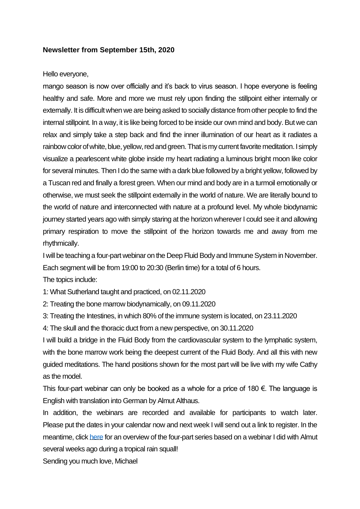## **Newsletter from September 15th, 2020**

## Hello everyone,

mango season is now over officially and it's back to virus season. I hope everyone is feeling healthy and safe. More and more we must rely upon finding the stillpoint either internally or externally. It is difficult when we are being asked to socially distance from other people to find the internal stillpoint. In a way, it is like being forced to be inside our own mind and body. But we can relax and simply take a step back and find the inner illumination of our heart as it radiates a rainbow color of white, blue, yellow, red and green. That is my current favorite meditation. I simply visualize a pearlescent white globe inside my heart radiating a luminous bright moon like color for several minutes. Then I do the same with a dark blue followed by a bright yellow, followed by a Tuscan red and finally a forest green. When our mind and body are in a turmoil emotionally or otherwise, we must seek the stillpoint externally in the world of nature. We are literally bound to the world of nature and interconnected with nature at a profound level. My whole biodynamic journey started years ago with simply staring at the horizon wherever I could see it and allowing primary respiration to move the stillpoint of the horizon towards me and away from me rhythmically.

I will be teaching a four-part webinar on the Deep Fluid Body and Immune System in November. Each segment will be from 19:00 to 20:30 (Berlin time) for a total of 6 hours.

The topics include:

1: What Sutherland taught and practiced, on 02.11.2020

2: Treating the bone marrow biodynamically, on 09.11.2020

3: Treating the Intestines, in which 80% of the immune system is located, on 23.11.2020

4: The skull and the thoracic duct from a new perspective, on 30.11.2020

I will build a bridge in the Fluid Body from the cardiovascular system to the lymphatic system, with the bone marrow work being the deepest current of the Fluid Body. And all this with new guided meditations. The hand positions shown for the most part will be live with my wife Cathy as the model.

This four-part webinar can only be booked as a whole for a price of 180  $\epsilon$ . The language is English with translation into German by Almut Althaus.

In addition, the webinars are recorded and available for participants to watch later. Please put the dates in your calendar now and next week I will send out a link to register. In the meantime, clic[k here](https://www.michaelsheateaching.de/wp-content/uploads/2009-New-Immune-System-E-1.pdf) for an overview of the four-part series based on a webinar I did with Almut several weeks ago during a tropical rain squall!

Sending you much love, Michael